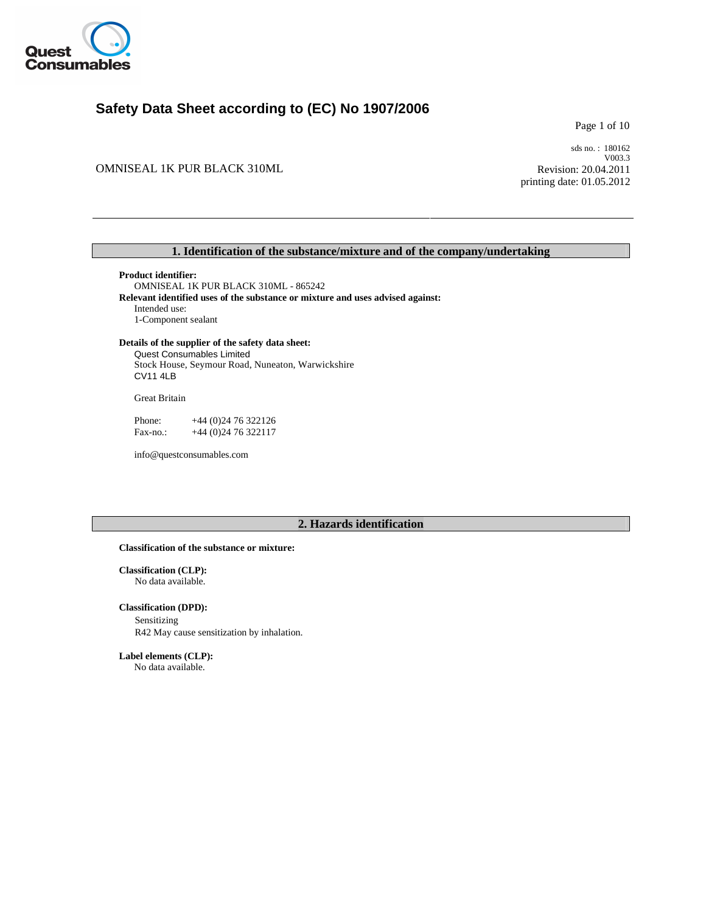

# **Safety Data Sheet according to (EC) No 1907/2006**

Page 1 of 10

OMNISEAL 1K PUR BLACK 310ML

sds no. : 180162 V003.3 Revision: 20.04.2011 printing date: 01.05.2012

## **1. Identification of the substance/mixture and of the company/undertaking**

OMNISEAL 1K PUR BLACK 310ML - 865242 **Product identifier: Relevant identified uses of the substance or mixture and uses advised against:**  Intended use: 1-Component sealant

## **Details of the supplier of the safety data sheet:**

Stock House, Seymour Road, Nuneaton, Warwickshire Quest Consumables Limited CV11 4LB

Great Britain

Fax-no.: +44 (0) 24 76 322117 Phone: +44 (0)24 76 322126

info@questconsumables.com

# **2. Hazards identification**

#### **Classification of the substance or mixture:**

**Classification (CLP):**  No data available.

## **Classification (DPD):**

Sensitizing R42 May cause sensitization by inhalation.

**Label elements (CLP):**

No data available.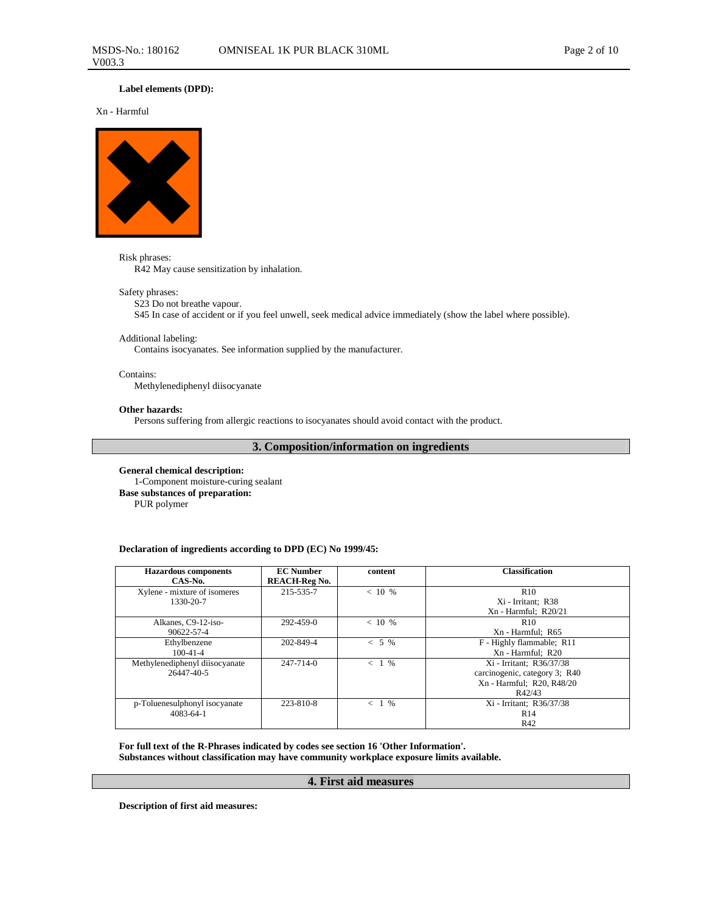## **Label elements (DPD):**

Xn - Harmful



Risk phrases: R42 May cause sensitization by inhalation.

#### Safety phrases:

## S23 Do not breathe vapour.

S45 In case of accident or if you feel unwell, seek medical advice immediately (show the label where possible).

#### Additional labeling:

Contains isocyanates. See information supplied by the manufacturer.

## Contains:

Methylenediphenyl diisocyanate

## **Other hazards:**

Persons suffering from allergic reactions to isocyanates should avoid contact with the product.

## **3. Composition/information on ingredients**

**General chemical description:**  1-Component moisture-curing sealant **Base substances of preparation:**  PUR polymer

## **Declaration of ingredients according to DPD (EC) No 1999/45:**

| <b>Hazardous</b> components<br>CAS-No.       | <b>EC</b> Number<br><b>REACH-Reg No.</b> | content  | <b>Classification</b>                                                                            |
|----------------------------------------------|------------------------------------------|----------|--------------------------------------------------------------------------------------------------|
| Xylene - mixture of isomeres<br>1330-20-7    | 215-535-7                                | $< 10\%$ | R <sub>10</sub><br>Xi - Irritant: R38<br>$Xn$ - Harmful; $R20/21$                                |
| Alkanes, C9-12-iso-<br>90622-57-4            | 292-459-0                                | $< 10\%$ | R <sub>10</sub><br>Xn - Harmful; R65                                                             |
| Ethylbenzene<br>$100 - 41 - 4$               | 202-849-4                                | $< 5\%$  | F - Highly flammable; R11<br>Xn - Harmful; R20                                                   |
| Methylenediphenyl diisocyanate<br>26447-40-5 | $247 - 714 - 0$                          | $< 1\%$  | Xi - Irritant; R36/37/38<br>carcinogenic, category 3; R40<br>Xn - Harmful; R20, R48/20<br>R42/43 |
| p-Toluenesulphonyl isocyanate<br>4083-64-1   | 223-810-8                                | $< 1\%$  | Xi - Irritant; R36/37/38<br>R14<br>R42                                                           |

**For full text of the R-Phrases indicated by codes see section 16 'Other Information'. Substances without classification may have community workplace exposure limits available.**

## **4. First aid measures**

**Description of first aid measures:**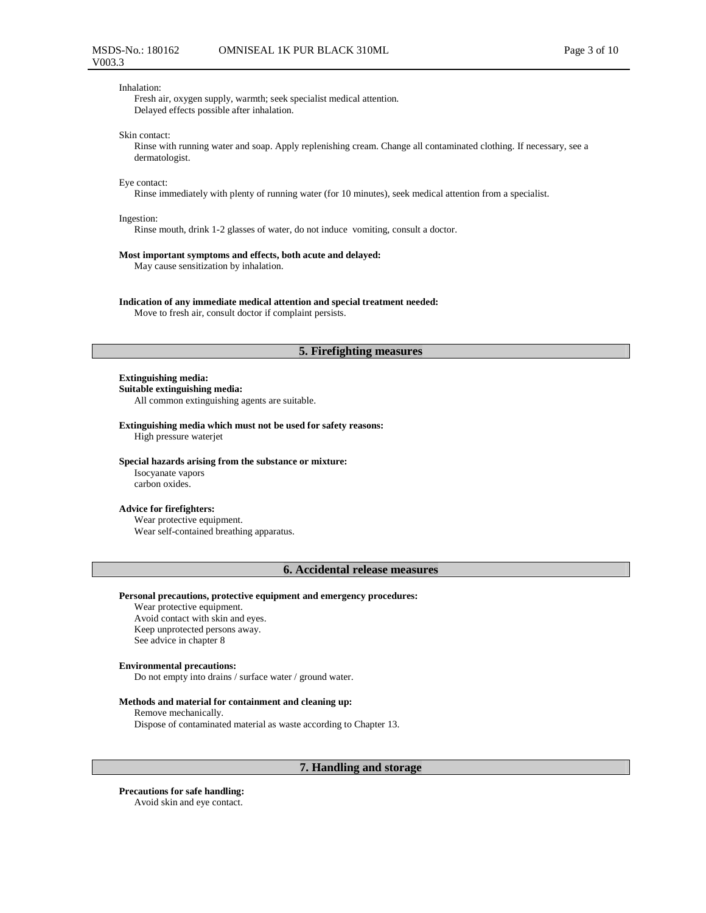#### Inhalation:

Fresh air, oxygen supply, warmth; seek specialist medical attention. Delayed effects possible after inhalation.

#### Skin contact:

Rinse with running water and soap. Apply replenishing cream. Change all contaminated clothing. If necessary, see a dermatologist.

#### Eye contact:

Rinse immediately with plenty of running water (for 10 minutes), seek medical attention from a specialist.

#### Ingestion:

Rinse mouth, drink 1-2 glasses of water, do not induce vomiting, consult a doctor.

#### **Most important symptoms and effects, both acute and delayed:**

May cause sensitization by inhalation.

#### **Indication of any immediate medical attention and special treatment needed:**

Move to fresh air, consult doctor if complaint persists.

## **5. Firefighting measures**

#### **Extinguishing media:**

**Suitable extinguishing media:** 

All common extinguishing agents are suitable.

#### **Extinguishing media which must not be used for safety reasons:**  High pressure waterjet

**Special hazards arising from the substance or mixture:** 

Isocyanate vapors carbon oxides.

## **Advice for firefighters:**

Wear protective equipment. Wear self-contained breathing apparatus.

## **6. Accidental release measures**

### **Personal precautions, protective equipment and emergency procedures:**

Wear protective equipment. Avoid contact with skin and eyes. Keep unprotected persons away. See advice in chapter 8

#### **Environmental precautions:**

Do not empty into drains / surface water / ground water.

#### **Methods and material for containment and cleaning up:**

Remove mechanically. Dispose of contaminated material as waste according to Chapter 13.

## **7. Handling and storage**

## **Precautions for safe handling:**

Avoid skin and eye contact.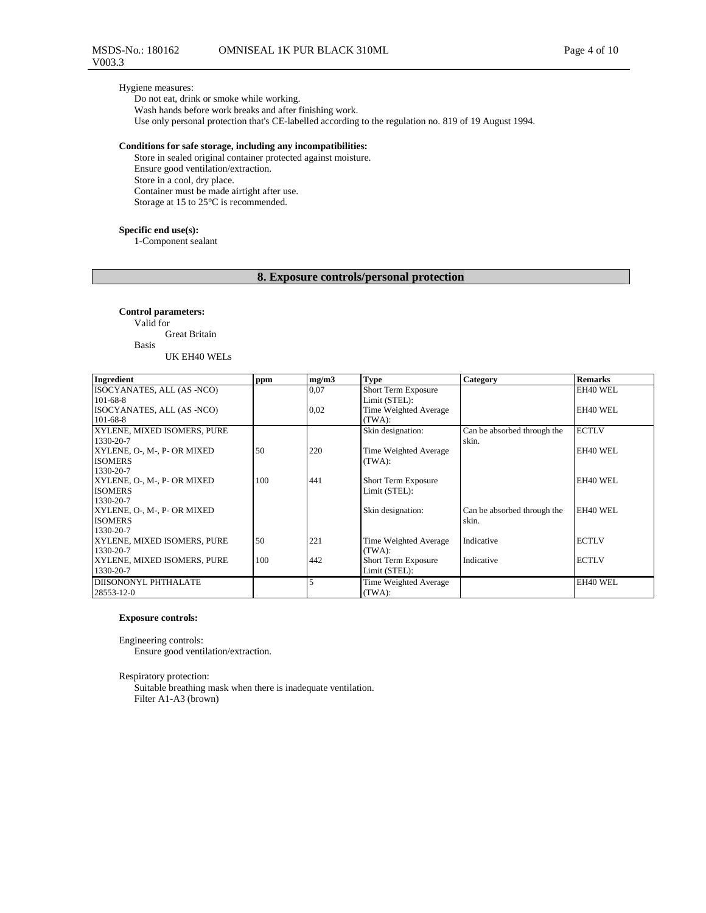## Hygiene measures:

Do not eat, drink or smoke while working.

Wash hands before work breaks and after finishing work.

Use only personal protection that's CE-labelled according to the regulation no. 819 of 19 August 1994.

#### **Conditions for safe storage, including any incompatibilities:**

Store in sealed original container protected against moisture. Ensure good ventilation/extraction. Store in a cool, dry place. Container must be made airtight after use. Storage at 15 to 25°C is recommended.

#### **Specific end use(s):**

1-Component sealant

# **8. Exposure controls/personal protection**

**Control parameters:** 

Valid for

Great Britain Basis

UK EH40 WELs

| Ingredient                               | ppm | mg/m3 | <b>Type</b>           | Category                    | <b>Remarks</b> |
|------------------------------------------|-----|-------|-----------------------|-----------------------------|----------------|
| ISOCYANATES, ALL (AS -NCO)               |     | 0.07  | Short Term Exposure   |                             | EH40 WEL       |
| $101 - 68 - 8$                           |     |       | Limit (STEL):         |                             |                |
| ISOCYANATES, ALL (AS -NCO)               |     | 0,02  | Time Weighted Average |                             | EH40 WEL       |
| $101 - 68 - 8$                           |     |       | (TWA):                |                             |                |
| XYLENE, MIXED ISOMERS, PURE              |     |       | Skin designation:     | Can be absorbed through the | <b>ECTLV</b>   |
| 1330-20-7                                |     |       |                       | skin.                       |                |
| XYLENE, O-, M-, P- OR MIXED              | 50  | 220   | Time Weighted Average |                             | EH40 WEL       |
| <b>ISOMERS</b>                           |     |       | (TWA):                |                             |                |
| 1330-20-7                                |     |       |                       |                             |                |
| XYLENE, O-, M-, P- OR MIXED              | 100 | 441   | Short Term Exposure   |                             | EH40 WEL       |
| <b>ISOMERS</b>                           |     |       | Limit (STEL):         |                             |                |
| 1330-20-7                                |     |       |                       |                             |                |
| XYLENE, O-, M-, P- OR MIXED              |     |       | Skin designation:     | Can be absorbed through the | EH40 WEL       |
| <b>ISOMERS</b>                           |     |       |                       | skin.                       |                |
| 1330-20-7                                |     |       |                       |                             |                |
| XYLENE, MIXED ISOMERS, PURE<br>1330-20-7 | 50  | 221   | Time Weighted Average | Indicative                  | <b>ECTLV</b>   |
| XYLENE, MIXED ISOMERS, PURE              | 100 | 442   | (TWA):                | Indicative                  | <b>ECTLV</b>   |
| 1330-20-7                                |     |       | Short Term Exposure   |                             |                |
|                                          |     |       | Limit (STEL):         |                             |                |
| DIISONONYL PHTHALATE                     |     |       | Time Weighted Average |                             | EH40 WEL       |
| 28553-12-0                               |     |       | (TWA):                |                             |                |

## **Exposure controls:**

Engineering controls:

Ensure good ventilation/extraction.

Respiratory protection:

Suitable breathing mask when there is inadequate ventilation. Filter A1-A3 (brown)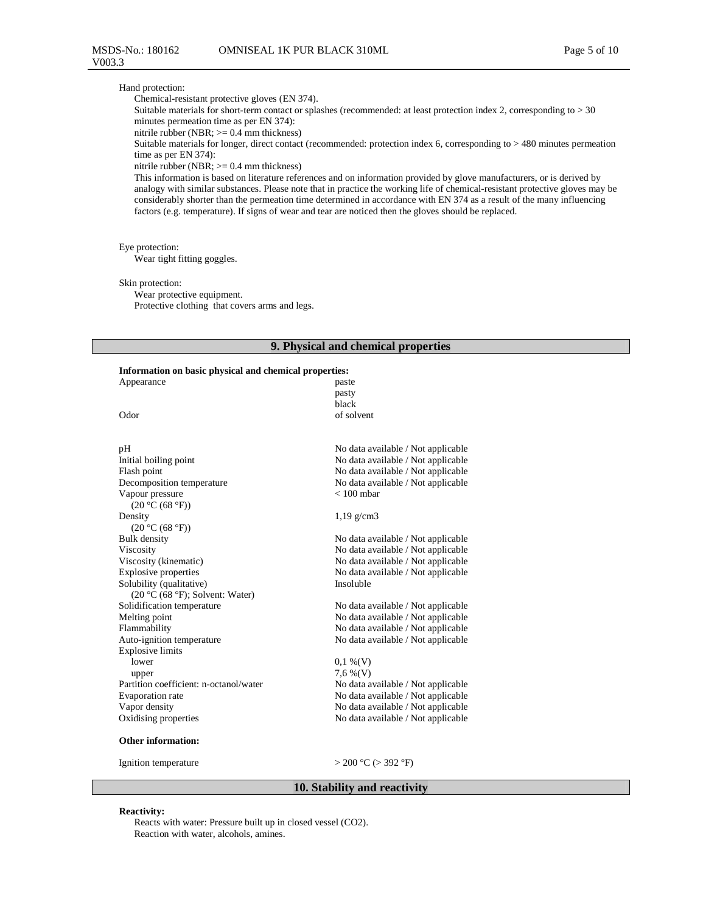#### Hand protection:

Chemical-resistant protective gloves (EN 374).

Suitable materials for short-term contact or splashes (recommended: at least protection index 2, corresponding to  $>$  30 minutes permeation time as per EN 374):

nitrile rubber (NBR;  $>= 0.4$  mm thickness)

Suitable materials for longer, direct contact (recommended: protection index 6, corresponding to > 480 minutes permeation time as per EN 374):

#### nitrile rubber (NBR; >= 0.4 mm thickness)

This information is based on literature references and on information provided by glove manufacturers, or is derived by analogy with similar substances. Please note that in practice the working life of chemical-resistant protective gloves may be considerably shorter than the permeation time determined in accordance with EN 374 as a result of the many influencing factors (e.g. temperature). If signs of wear and tear are noticed then the gloves should be replaced.

## Eye protection:

Wear tight fitting goggles.

### Skin protection:

Wear protective equipment. Protective clothing that covers arms and legs.

#### **9. Physical and chemical properties**

## **Information on basic physical and chemical properties:**

| ниогнанон он баяс рнузсаг ана сиснисаг ргорсгисэ. |                                    |
|---------------------------------------------------|------------------------------------|
| Appearance                                        | paste                              |
|                                                   | pasty                              |
|                                                   | black                              |
| Odor                                              | of solvent                         |
|                                                   |                                    |
|                                                   |                                    |
| pН                                                | No data available / Not applicable |
| Initial boiling point                             | No data available / Not applicable |
| Flash point                                       | No data available / Not applicable |
| Decomposition temperature                         | No data available / Not applicable |
| Vapour pressure                                   | $< 100$ mbar                       |
| (20 °C (68 °F))                                   |                                    |
| Density                                           | $1,19 \text{ g/cm}$ 3              |
| (20 °C (68 °F))                                   |                                    |
| <b>Bulk</b> density                               | No data available / Not applicable |
| Viscosity                                         | No data available / Not applicable |
| Viscosity (kinematic)                             | No data available / Not applicable |
| <b>Explosive properties</b>                       | No data available / Not applicable |
| Solubility (qualitative)                          | Insoluble                          |
| $(20 °C (68 °F))$ ; Solvent: Water)               |                                    |
| Solidification temperature                        | No data available / Not applicable |
| Melting point                                     | No data available / Not applicable |
| Flammability                                      | No data available / Not applicable |
| Auto-ignition temperature                         | No data available / Not applicable |
| <b>Explosive limits</b>                           |                                    |
| lower                                             | $0,1\%$ (V)                        |
| upper                                             | $7,6\%$ (V)                        |
| Partition coefficient: n-octanol/water            | No data available / Not applicable |
| Evaporation rate                                  | No data available / Not applicable |
| Vapor density                                     | No data available / Not applicable |
| Oxidising properties                              | No data available / Not applicable |
| <b>Other information:</b>                         |                                    |
| Ignition temperature                              | $>$ 200 °C ( $>$ 392 °F)           |
|                                                   |                                    |

## **10. Stability and reactivity**

#### **Reactivity:**

Reacts with water: Pressure built up in closed vessel (CO2). Reaction with water, alcohols, amines.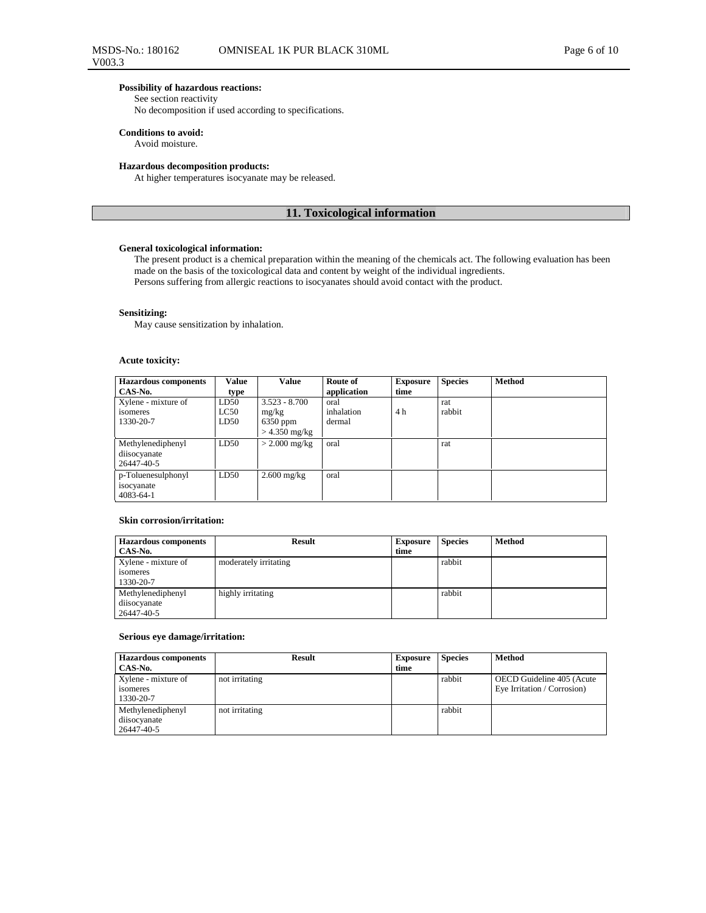## **Possibility of hazardous reactions:**

See section reactivity

No decomposition if used according to specifications.

## **Conditions to avoid:**

Avoid moisture.

#### **Hazardous decomposition products:**

At higher temperatures isocyanate may be released.

## **11. Toxicological information**

## **General toxicological information:**

The present product is a chemical preparation within the meaning of the chemicals act. The following evaluation has been made on the basis of the toxicological data and content by weight of the individual ingredients. Persons suffering from allergic reactions to isocyanates should avoid contact with the product.

#### **Sensitizing:**

May cause sensitization by inhalation.

## **Acute toxicity:**

| <b>Hazardous</b> components | Value | <b>Value</b>    | Route of    | <b>Exposure</b> | <b>Species</b> | Method |
|-----------------------------|-------|-----------------|-------------|-----------------|----------------|--------|
| CAS-No.                     | type  |                 | application | time            |                |        |
| Xylene - mixture of         | LD50  | $3.523 - 8.700$ | oral        |                 | rat            |        |
| isomeres                    | LC50  | mg/kg           | inhalation  | 4 h             | rabbit         |        |
| 1330-20-7                   | LD50  | $6350$ ppm      | dermal      |                 |                |        |
|                             |       | $>$ 4.350 mg/kg |             |                 |                |        |
| Methylenediphenyl           | LD50  | $>$ 2.000 mg/kg | oral        |                 | rat            |        |
| diisocyanate                |       |                 |             |                 |                |        |
| 26447-40-5                  |       |                 |             |                 |                |        |
| p-Toluenesulphonyl          | LD50  | $2.600$ mg/kg   | oral        |                 |                |        |
| isocyanate                  |       |                 |             |                 |                |        |
| 4083-64-1                   |       |                 |             |                 |                |        |

#### **Skin corrosion/irritation:**

| <b>Hazardous components</b> | <b>Result</b>         | <b>Exposure</b> | <b>Species</b> | Method |
|-----------------------------|-----------------------|-----------------|----------------|--------|
| CAS-No.                     |                       | time            |                |        |
| Xylene - mixture of         | moderately irritating |                 | rabbit         |        |
| isomeres<br>1330-20-7       |                       |                 |                |        |
| Methylenediphenyl           | highly irritating     |                 | rabbit         |        |
| diisocyanate                |                       |                 |                |        |
| 26447-40-5                  |                       |                 |                |        |

#### **Serious eye damage/irritation:**

| <b>Hazardous</b> components                     | <b>Result</b>  | <b>Exposure</b> | <b>Species</b> | Method                                                   |
|-------------------------------------------------|----------------|-----------------|----------------|----------------------------------------------------------|
| CAS-No.                                         |                | time            |                |                                                          |
| Xylene - mixture of<br>isomeres<br>1330-20-7    | not irritating |                 | rabbit         | OECD Guideline 405 (Acute<br>Eye Irritation / Corrosion) |
| Methylenediphenyl<br>diisocyanate<br>26447-40-5 | not irritating |                 | rabbit         |                                                          |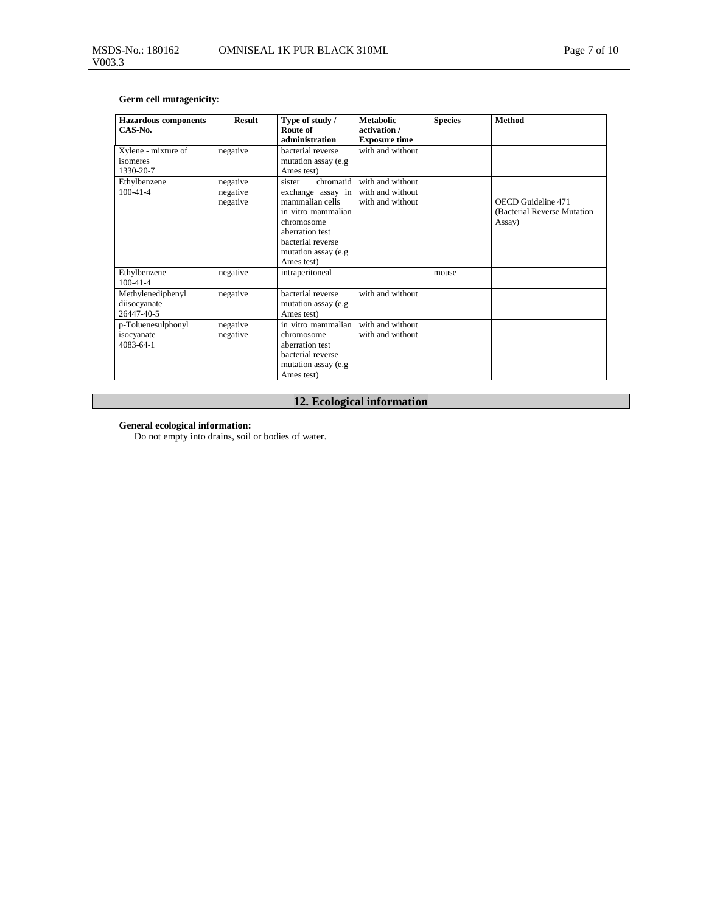# **Germ cell mutagenicity:**

| <b>Hazardous</b> components<br>CAS-No.          | <b>Result</b>                    | Type of study /<br>Route of<br>administration                                                                                                                                 | <b>Metabolic</b><br>activation /<br><b>Exposure time</b> | <b>Species</b> | <b>Method</b>                                                |
|-------------------------------------------------|----------------------------------|-------------------------------------------------------------------------------------------------------------------------------------------------------------------------------|----------------------------------------------------------|----------------|--------------------------------------------------------------|
| Xylene - mixture of<br>isomeres<br>1330-20-7    | negative                         | bacterial reverse<br>mutation assay (e.g.<br>Ames test)                                                                                                                       | with and without                                         |                |                                                              |
| Ethylbenzene<br>$100-41-4$                      | negative<br>negative<br>negative | chromatid<br>sister<br>exchange assay in<br>mammalian cells<br>in vitro mammalian<br>chromosome<br>aberration test<br>bacterial reverse<br>mutation assay (e.g.<br>Ames test) | with and without<br>with and without<br>with and without |                | OECD Guideline 471<br>(Bacterial Reverse Mutation)<br>Assay) |
| Ethylbenzene<br>$100-41-4$                      | negative                         | intraperitoneal                                                                                                                                                               |                                                          | mouse          |                                                              |
| Methylenediphenyl<br>diisocyanate<br>26447-40-5 | negative                         | bacterial reverse<br>mutation assay (e.g.<br>Ames test)                                                                                                                       | with and without                                         |                |                                                              |
| p-Toluenesulphonyl<br>isocyanate<br>4083-64-1   | negative<br>negative             | in vitro mammalian<br>chromosome<br>aberration test<br>bacterial reverse<br>mutation assay (e.g.<br>Ames test)                                                                | with and without<br>with and without                     |                |                                                              |

# **12. Ecological information**

**General ecological information:** 

Do not empty into drains, soil or bodies of water.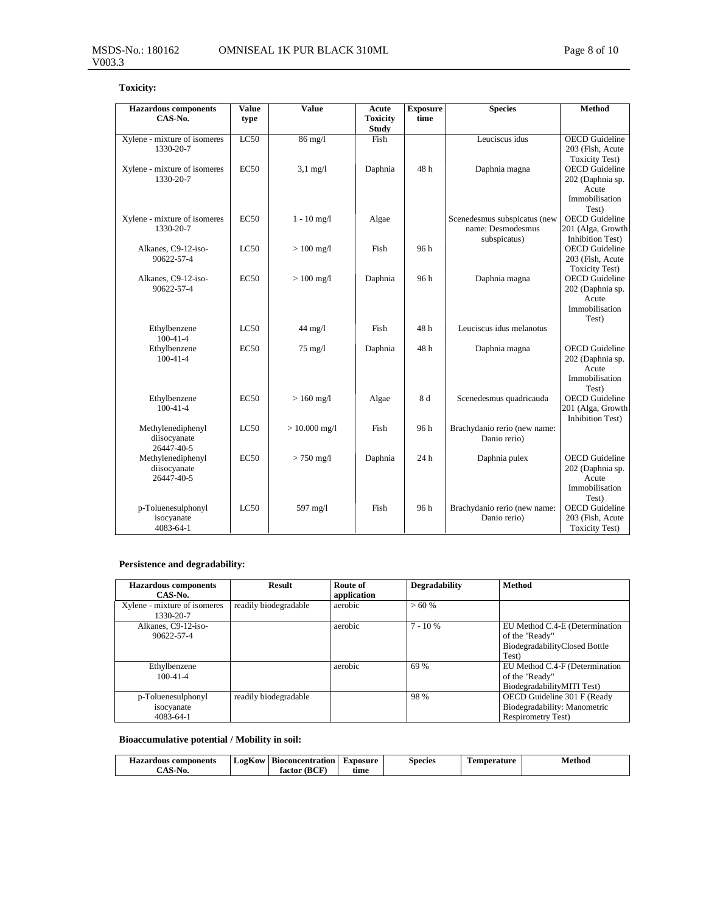# **Toxicity:**

| <b>Hazardous</b> components                     | Value            | Value              | Acute                           | <b>Exposure</b> | <b>Species</b>                                                    | <b>Method</b>                                                                 |
|-------------------------------------------------|------------------|--------------------|---------------------------------|-----------------|-------------------------------------------------------------------|-------------------------------------------------------------------------------|
| CAS-No.                                         | type             |                    | <b>Toxicity</b><br><b>Study</b> | time            |                                                                   |                                                                               |
| Xylene - mixture of isomeres<br>1330-20-7       | LC50             | 86 mg/l            | Fish                            |                 | Leuciscus idus                                                    | <b>OECD</b> Guideline<br>203 (Fish, Acute<br><b>Toxicity Test)</b>            |
| Xylene - mixture of isomeres<br>1330-20-7       | EC <sub>50</sub> | $3,1 \text{ mg}/1$ | Daphnia                         | 48h             | Daphnia magna                                                     | <b>OECD</b> Guideline<br>202 (Daphnia sp.<br>Acute<br>Immobilisation<br>Test) |
| Xylene - mixture of isomeres<br>1330-20-7       | EC <sub>50</sub> | $1 - 10$ mg/l      | Algae                           |                 | Scenedesmus subspicatus (new<br>name: Desmodesmus<br>subspicatus) | <b>OECD</b> Guideline<br>201 (Alga, Growth<br><b>Inhibition Test)</b>         |
| Alkanes, C9-12-iso-<br>90622-57-4               | LC50             | $>100$ mg/l        | Fish                            | 96h             |                                                                   | <b>OECD</b> Guideline<br>203 (Fish, Acute<br><b>Toxicity Test)</b>            |
| Alkanes, C9-12-iso-<br>90622-57-4               | EC50             | $>100$ mg/l        | Daphnia                         | 96h             | Daphnia magna                                                     | <b>OECD</b> Guideline<br>202 (Daphnia sp.<br>Acute<br>Immobilisation<br>Test) |
| Ethylbenzene<br>$100-41-4$                      | LC50             | $44$ mg/l          | Fish                            | 48 h            | Leuciscus idus melanotus                                          |                                                                               |
| Ethylbenzene<br>$100-41-4$                      | EC50             | $75 \text{ mg}/l$  | Daphnia                         | 48h             | Daphnia magna                                                     | <b>OECD</b> Guideline<br>202 (Daphnia sp.<br>Acute<br>Immobilisation<br>Test) |
| Ethylbenzene<br>$100-41-4$                      | EC50             | $>160$ mg/l        | Algae                           | 8 d             | Scenedesmus quadricauda                                           | <b>OECD</b> Guideline<br>201 (Alga, Growth<br><b>Inhibition Test)</b>         |
| Methylenediphenyl<br>diisocyanate<br>26447-40-5 | LC50             | $> 10.000$ mg/l    | Fish                            | 96h             | Brachydanio rerio (new name:<br>Danio rerio)                      |                                                                               |
| Methylenediphenyl<br>diisocyanate<br>26447-40-5 | EC50             | $> 750$ mg/l       | Daphnia                         | 24 <sub>h</sub> | Daphnia pulex                                                     | <b>OECD</b> Guideline<br>202 (Daphnia sp.<br>Acute<br>Immobilisation<br>Test) |
| p-Toluenesulphonyl<br>isocyanate<br>4083-64-1   | LC50             | 597 mg/l           | Fish                            | 96h             | Brachydanio rerio (new name:<br>Danio rerio)                      | <b>OECD</b> Guideline<br>203 (Fish, Acute<br><b>Toxicity Test)</b>            |

# **Persistence and degradability:**

| <b>Hazardous</b> components<br>CAS-No.              | <b>Result</b>         | Route of<br>application | Degradability | <b>Method</b>                                                                              |
|-----------------------------------------------------|-----------------------|-------------------------|---------------|--------------------------------------------------------------------------------------------|
| Xylene - mixture of isomeres<br>1330-20-7           | readily biodegradable | aerobic                 | >60%          |                                                                                            |
| Alkanes, C9-12-iso-<br>90622-57-4                   |                       | aerobic                 | $7 - 10%$     | EU Method C.4-E (Determination<br>of the "Ready"<br>BiodegradabilityClosed Bottle<br>Test) |
| Ethylbenzene<br>$100 - 41 - 4$                      |                       | aerobic                 | 69 %          | EU Method C.4-F (Determination<br>of the "Ready"<br>BiodegradabilityMITI Test)             |
| p-Toluenesulphonyl<br>isocyanate<br>$4083 - 64 - 1$ | readily biodegradable |                         | 98 %          | OECD Guideline 301 F (Ready<br>Biodegradability: Manometric<br><b>Respirometry Test)</b>   |

# **Bioaccumulative potential / Mobility in soil:**

| <b>Hazardous components</b>                | $-$<br>⊥02K0W | <b>Bioconcentration</b> | <b>Exposure</b> | Species | m<br>Temperature | Method |
|--------------------------------------------|---------------|-------------------------|-----------------|---------|------------------|--------|
| $\mathbf{A}$ $\mathbf{C}$<br>-N0.<br>- 540 |               | (BCF<br>factor          | tıme            |         |                  |        |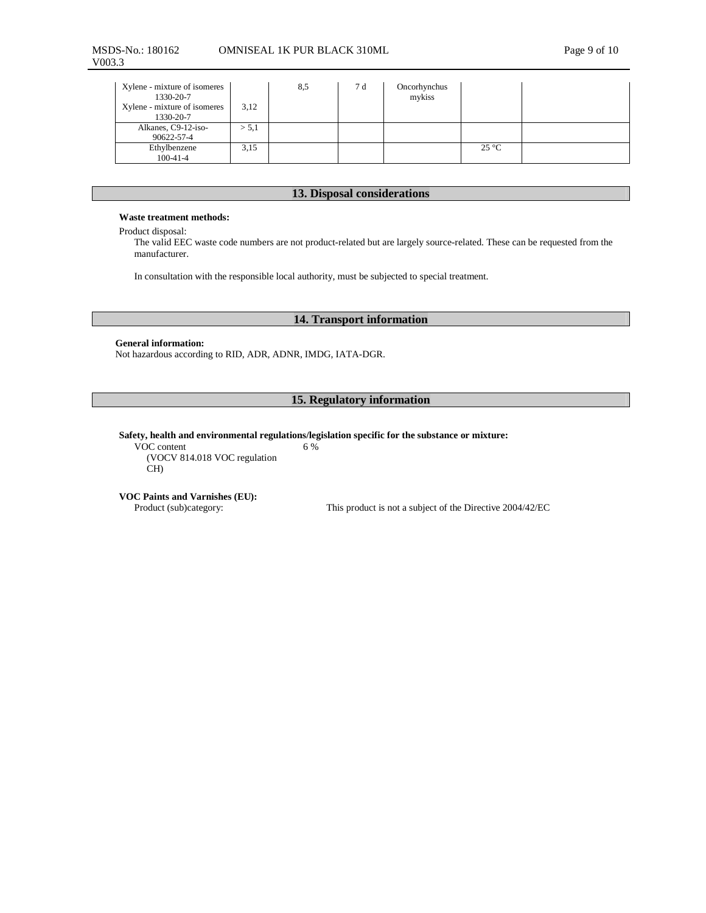| Xylene - mixture of isomeres<br>1330-20-7<br>Xylene - mixture of isomeres<br>1330-20-7 | 3,12  | 8,5 | 7 d | Oncorhynchus<br>mykiss |                |  |
|----------------------------------------------------------------------------------------|-------|-----|-----|------------------------|----------------|--|
| Alkanes, C9-12-iso-<br>90622-57-4                                                      | > 5,1 |     |     |                        |                |  |
| Ethylbenzene<br>$100-41-4$                                                             | 3.15  |     |     |                        | $25^{\circ}$ C |  |

# **13. Disposal considerations**

#### **Waste treatment methods:**

Product disposal:

The valid EEC waste code numbers are not product-related but are largely source-related. These can be requested from the manufacturer.

In consultation with the responsible local authority, must be subjected to special treatment.

# **14. Transport information**

### **General information:**

Not hazardous according to RID, ADR, ADNR, IMDG, IATA-DGR.

# **15. Regulatory information**

#### **Safety, health and environmental regulations/legislation specific for the substance or mixture:**  6 %

VOC content (VOCV 814.018 VOC regulation CH)

## **VOC Paints and Varnishes (EU):**

Product (sub)category: This product is not a subject of the Directive 2004/42/EC